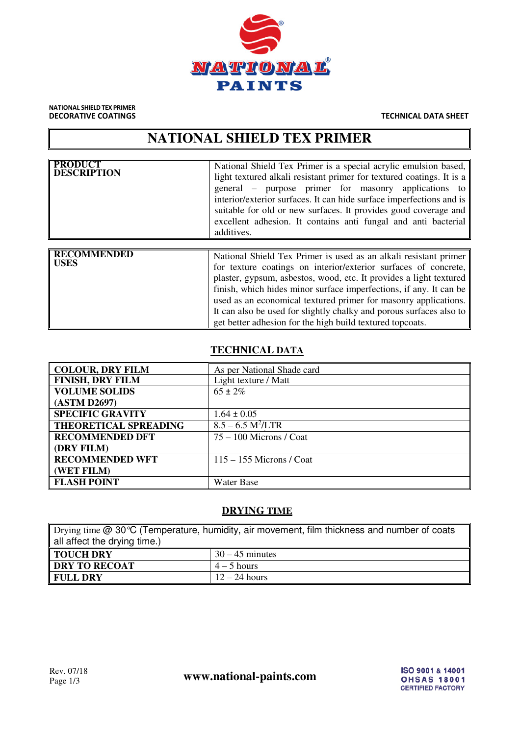

# NATIONAL SHIELD TEX PRIMER

DECORATIVE COATINGS TECHNICAL DATA SHEET

# **NATIONAL SHIELD TEX PRIMER**

| <b>PRODUCT</b><br><b>DESCRIPTION</b> | National Shield Tex Primer is a special acrylic emulsion based,  <br>light textured alkali resistant primer for textured coatings. It is a<br>general – purpose primer for masonry applications to<br>interior/exterior surfaces. It can hide surface imperfections and is<br>suitable for old or new surfaces. It provides good coverage and<br>excellent adhesion. It contains anti-fungal and anti-bacterial<br>additives.                                                          |
|--------------------------------------|----------------------------------------------------------------------------------------------------------------------------------------------------------------------------------------------------------------------------------------------------------------------------------------------------------------------------------------------------------------------------------------------------------------------------------------------------------------------------------------|
|                                      |                                                                                                                                                                                                                                                                                                                                                                                                                                                                                        |
| <b>RECOMMENDED</b><br><b>USES</b>    | National Shield Tex Primer is used as an alkali resistant primer<br>for texture coatings on interior/exterior surfaces of concrete,<br>plaster, gypsum, asbestos, wood, etc. It provides a light textured<br>finish, which hides minor surface imperfections, if any. It can be<br>used as an economical textured primer for masonry applications.<br>It can also be used for slightly chalky and porous surfaces also to<br>get better adhesion for the high build textured topcoats. |

### **TECHNICAL DATA**

| COLOUR, DRY FILM             | As per National Shade card |
|------------------------------|----------------------------|
| <b>FINISH, DRY FILM</b>      | Light texture / Matt       |
| <b>VOLUME SOLIDS</b>         | $65 \pm 2\%$               |
| (ASTM D2697)                 |                            |
| <b>SPECIFIC GRAVITY</b>      | $1.64 \pm 0.05$            |
| <b>THEORETICAL SPREADING</b> | $8.5 - 6.5 M^2/LTR$        |
| <b>RECOMMENDED DFT</b>       | $75 - 100$ Microns / Coat  |
| (DRY FILM)                   |                            |
| <b>RECOMMENDED WFT</b>       | $115 - 155$ Microns / Coat |
| (WET FILM)                   |                            |
| <b>FLASH POINT</b>           | Water Base                 |
|                              |                            |

#### **DRYING TIME**

| Drying time @ 30 °C (Temperature, humidity, air movement, film thickness and number of coats |                   |  |
|----------------------------------------------------------------------------------------------|-------------------|--|
| all affect the drying time.)                                                                 |                   |  |
| TOUCH DRY                                                                                    | $30 - 45$ minutes |  |
| DRY TO RECOAT                                                                                | $4-5$ hours       |  |
| $12 - 24$ hours<br>  FULL DRY                                                                |                   |  |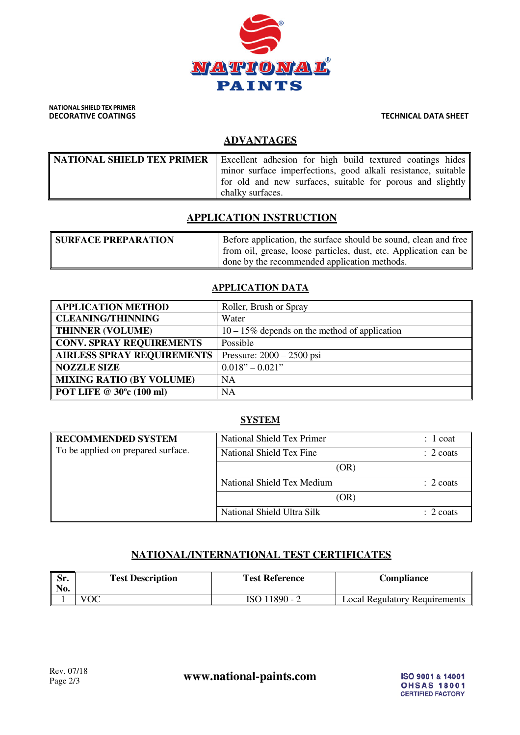

#### NATIONAL SHIELD TEX PRIMER **DECORATIVE COATINGS** TECHNICAL DATA SHEET

## **ADVANTAGES**

| <b>NATIONAL SHIELD TEX PRIMER</b> Excellent adhesion for high build textured coatings hides |
|---------------------------------------------------------------------------------------------|
| minor surface imperfections, good alkali resistance, suitable                               |
| for old and new surfaces, suitable for porous and slightly                                  |
| chalky surfaces.                                                                            |

# **APPLICATION INSTRUCTION**

| <b>SURFACE PREPARATION</b> | Before application, the surface should be sound, clean and free  |
|----------------------------|------------------------------------------------------------------|
|                            | from oil, grease, loose particles, dust, etc. Application can be |
|                            | I done by the recommended application methods.                   |

#### **APPLICATION DATA**

| <b>APPLICATION METHOD</b>         | Roller, Brush or Spray                           |
|-----------------------------------|--------------------------------------------------|
| <b>CLEANING/THINNING</b>          | Water                                            |
| <b>THINNER (VOLUME)</b>           | $10 - 15\%$ depends on the method of application |
| <b>CONV. SPRAY REQUIREMENTS</b>   | Possible                                         |
| <b>AIRLESS SPRAY REQUIREMENTS</b> | Pressure: $2000 - 2500$ psi                      |
| <b>NOZZLE SIZE</b>                | $0.018" - 0.021"$                                |
| <b>MIXING RATIO (BY VOLUME)</b>   | <b>NA</b>                                        |
| POT LIFE @ 30°c (100 ml)          | <b>NA</b>                                        |

#### **SYSTEM**

| <b>RECOMMENDED SYSTEM</b>          | National Shield Tex Primer | 1 coat               |
|------------------------------------|----------------------------|----------------------|
| To be applied on prepared surface. | National Shield Tex Fine   | $\therefore$ 2 coats |
|                                    | (OR)                       |                      |
|                                    | National Shield Tex Medium | $\therefore$ 2 coats |
|                                    | (OR)                       |                      |
|                                    | National Shield Ultra Silk | $\therefore$ 2 coats |

## **NATIONAL/INTERNATIONAL TEST CERTIFICATES**

| Sr.<br>No. | <b>Test Description</b> | <b>Test Reference</b> | Compliance                           |
|------------|-------------------------|-----------------------|--------------------------------------|
|            | VOC                     | ISO 11890 - 2         | <b>Local Regulatory Requirements</b> |